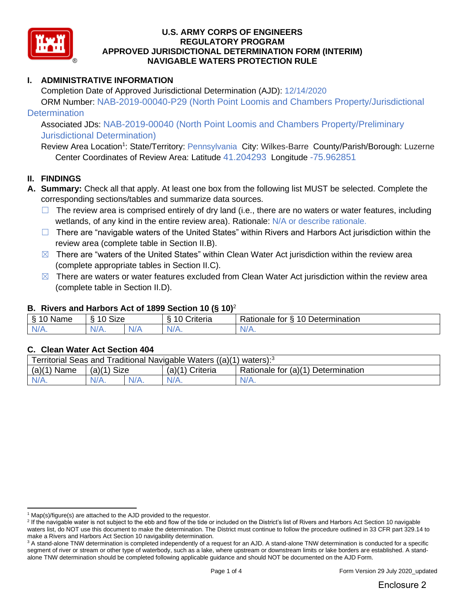

## **I. ADMINISTRATIVE INFORMATION**

Completion Date of Approved Jurisdictional Determination (AJD): 12/14/2020 ORM Number: NAB-2019-00040-P29 (North Point Loomis and Chambers Property/Jurisdictional

## **Determination**

Associated JDs: NAB-2019-00040 (North Point Loomis and Chambers Property/Preliminary Jurisdictional Determination)

Review Area Location<sup>1</sup>: State/Territory: Pennsylvania City: Wilkes-Barre County/Parish/Borough: Luzerne Center Coordinates of Review Area: Latitude 41.204293 Longitude -75.962851

## **II. FINDINGS**

- **A. Summary:** Check all that apply. At least one box from the following list MUST be selected. Complete the corresponding sections/tables and summarize data sources.
	- $\Box$  The review area is comprised entirely of dry land (i.e., there are no waters or water features, including wetlands, of any kind in the entire review area). Rationale: N/A or describe rationale.
	- $\Box$  There are "navigable waters of the United States" within Rivers and Harbors Act jurisdiction within the review area (complete table in Section II.B).
	- $\boxtimes$  There are "waters of the United States" within Clean Water Act jurisdiction within the review area (complete appropriate tables in Section II.C).
	- $\boxtimes$  There are waters or water features excluded from Clean Water Act jurisdiction within the review area (complete table in Section II.D).

## **B. Rivers and Harbors Act of 1899 Section 10 (§ 10)**<sup>2</sup>

| Name          | Size<br>$\overline{A}$<br>s |     | ⌒<br>. .<br>10<br>∶riteria | 10<br>$\overline{\phantom{a}}$<br>Determination<br>∛ationale<br>tor<br>∼ |
|---------------|-----------------------------|-----|----------------------------|--------------------------------------------------------------------------|
| $N$ //<br>. . | N/A.                        | N/A | N/t                        | w                                                                        |

## **C. Clean Water Act Section 404**

| Territorial Seas and Traditional Navigable Waters $((a)(1)$ waters): <sup>3</sup> |                |         |                                                          |         |  |  |
|-----------------------------------------------------------------------------------|----------------|---------|----------------------------------------------------------|---------|--|--|
| (a)(1)<br>Name                                                                    | Size<br>(a)(1) |         | Rationale for (a)(1) Determination<br>(a)(1)<br>Criteria |         |  |  |
| $N/A$ .                                                                           | $N/A$ .        | $N/A$ . | $N/A$ .                                                  | $N/A$ . |  |  |

 $1$  Map(s)/figure(s) are attached to the AJD provided to the requestor.

<sup>&</sup>lt;sup>2</sup> If the navigable water is not subject to the ebb and flow of the tide or included on the District's list of Rivers and Harbors Act Section 10 navigable waters list, do NOT use this document to make the determination. The District must continue to follow the procedure outlined in 33 CFR part 329.14 to make a Rivers and Harbors Act Section 10 navigability determination.

<sup>&</sup>lt;sup>3</sup> A stand-alone TNW determination is completed independently of a request for an AJD. A stand-alone TNW determination is conducted for a specific segment of river or stream or other type of waterbody, such as a lake, where upstream or downstream limits or lake borders are established. A standalone TNW determination should be completed following applicable guidance and should NOT be documented on the AJD Form.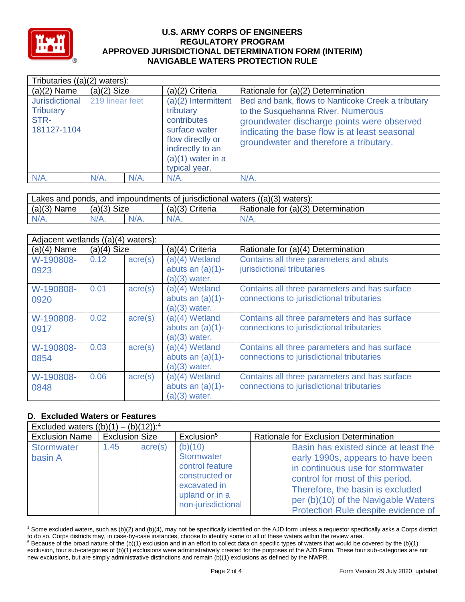

| Tributaries $((a)(2)$ waters):                            |                 |         |                                                                                                                                                  |                                                                                                                                                                                                                                   |
|-----------------------------------------------------------|-----------------|---------|--------------------------------------------------------------------------------------------------------------------------------------------------|-----------------------------------------------------------------------------------------------------------------------------------------------------------------------------------------------------------------------------------|
| $(a)(2)$ Name                                             | $(a)(2)$ Size   |         | (a)(2) Criteria                                                                                                                                  | Rationale for (a)(2) Determination                                                                                                                                                                                                |
| Jurisdictional<br><b>Tributary</b><br>STR-<br>181127-1104 | 219 linear feet |         | (a)(2) Intermittent<br>tributary<br>contributes<br>surface water<br>flow directly or<br>indirectly to an<br>$(a)(1)$ water in a<br>typical year. | Bed and bank, flows to Nanticoke Creek a tributary<br>to the Susquehanna River. Numerous<br>groundwater discharge points were observed<br>indicating the base flow is at least seasonal<br>groundwater and therefore a tributary. |
| $N/A$ .                                                   | $N/A$ .         | $N/A$ . | $N/A$ .                                                                                                                                          | $N/A$ .                                                                                                                                                                                                                           |

| Lakes and ponds, and impoundments of jurisdictional waters $((a)(3)$ waters): |               |         |                 |                                    |  |  |
|-------------------------------------------------------------------------------|---------------|---------|-----------------|------------------------------------|--|--|
| $(a)(3)$ Name                                                                 | $(a)(3)$ Size |         | (a)(3) Criteria | Rationale for (a)(3) Determination |  |  |
| $N/A$ .                                                                       |               | $N/A$ . | $N/A$ .         | $N/A$ .                            |  |  |

|                   | Adjacent wetlands ((a)(4) waters): |                  |                                                          |                                                                                            |  |  |  |
|-------------------|------------------------------------|------------------|----------------------------------------------------------|--------------------------------------------------------------------------------------------|--|--|--|
| $(a)(4)$ Name     | $(a)(4)$ Size                      |                  | (a)(4) Criteria                                          | Rationale for (a)(4) Determination                                                         |  |  |  |
| W-190808-<br>0923 | 0.12                               | $\text{acre}(s)$ | (a)(4) Wetland<br>abuts an $(a)(1)$ -<br>$(a)(3)$ water. | Contains all three parameters and abuts<br>jurisdictional tributaries                      |  |  |  |
| W-190808-<br>0920 | 0.01                               | $\text{acre}(s)$ | (a)(4) Wetland<br>abuts an $(a)(1)$ -<br>$(a)(3)$ water. | Contains all three parameters and has surface<br>connections to jurisdictional tributaries |  |  |  |
| W-190808-<br>0917 | 0.02                               | $\text{acre}(s)$ | (a)(4) Wetland<br>abuts an $(a)(1)$ -<br>$(a)(3)$ water. | Contains all three parameters and has surface<br>connections to jurisdictional tributaries |  |  |  |
| W-190808-<br>0854 | 0.03                               | $\text{acre}(s)$ | (a)(4) Wetland<br>abuts an $(a)(1)$ -<br>$(a)(3)$ water. | Contains all three parameters and has surface<br>connections to jurisdictional tributaries |  |  |  |
| W-190808-<br>0848 | 0.06                               | $\text{acre}(s)$ | (a)(4) Wetland<br>abuts an $(a)(1)$ -<br>$(a)(3)$ water. | Contains all three parameters and has surface<br>connections to jurisdictional tributaries |  |  |  |

## **D. Excluded Waters or Features**

| Excluded waters $((b)(1) - (b)(12))$ : <sup>4</sup> |                       |                  |                                                                                                                    |                                                                                                                                                                                                                                                                     |  |  |
|-----------------------------------------------------|-----------------------|------------------|--------------------------------------------------------------------------------------------------------------------|---------------------------------------------------------------------------------------------------------------------------------------------------------------------------------------------------------------------------------------------------------------------|--|--|
| <b>Exclusion Name</b>                               | <b>Exclusion Size</b> |                  | Exclusion <sup>5</sup>                                                                                             | Rationale for Exclusion Determination                                                                                                                                                                                                                               |  |  |
| <b>Stormwater</b><br>basin A                        | 1.45                  | $\text{acre}(s)$ | (b)(10)<br>Stormwater<br>control feature<br>constructed or<br>excavated in<br>upland or in a<br>non-jurisdictional | Basin has existed since at least the<br>early 1990s, appears to have been<br>in continuous use for stormwater<br>control for most of this period.<br>Therefore, the basin is excluded<br>per (b)(10) of the Navigable Waters<br>Protection Rule despite evidence of |  |  |

<sup>4</sup> Some excluded waters, such as (b)(2) and (b)(4), may not be specifically identified on the AJD form unless a requestor specifically asks a Corps district to do so. Corps districts may, in case-by-case instances, choose to identify some or all of these waters within the review area.

 $5$  Because of the broad nature of the (b)(1) exclusion and in an effort to collect data on specific types of waters that would be covered by the (b)(1) exclusion, four sub-categories of (b)(1) exclusions were administratively created for the purposes of the AJD Form. These four sub-categories are not new exclusions, but are simply administrative distinctions and remain (b)(1) exclusions as defined by the NWPR.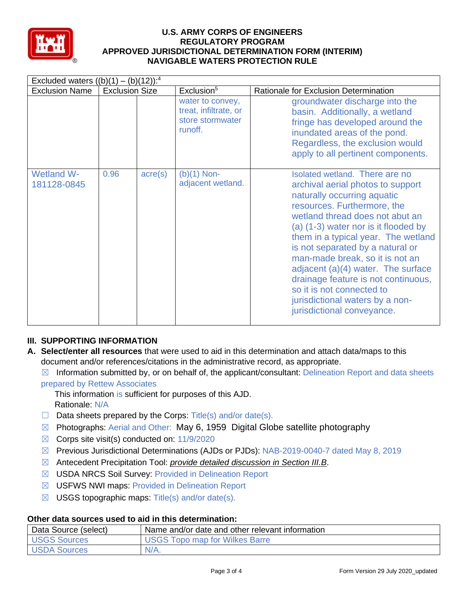

| Excluded waters $((b)(1) - (b)(12))$ : <sup>4</sup> |                       |                  |                                                                          |                                                                                                                                                                                                                                                                                                                                                                                                                                                                                                         |  |
|-----------------------------------------------------|-----------------------|------------------|--------------------------------------------------------------------------|---------------------------------------------------------------------------------------------------------------------------------------------------------------------------------------------------------------------------------------------------------------------------------------------------------------------------------------------------------------------------------------------------------------------------------------------------------------------------------------------------------|--|
| <b>Exclusion Name</b>                               | <b>Exclusion Size</b> |                  | Exclusion <sup>5</sup>                                                   | Rationale for Exclusion Determination                                                                                                                                                                                                                                                                                                                                                                                                                                                                   |  |
|                                                     |                       |                  | water to convey,<br>treat, infiltrate, or<br>store stormwater<br>runoff. | groundwater discharge into the<br>basin. Additionally, a wetland<br>fringe has developed around the<br>inundated areas of the pond.<br>Regardless, the exclusion would<br>apply to all pertinent components.                                                                                                                                                                                                                                                                                            |  |
| <b>Wetland W-</b><br>181128-0845                    | 0.96                  | $\text{acre}(s)$ | $(b)(1)$ Non-<br>adjacent wetland.                                       | Isolated wetland. There are no<br>archival aerial photos to support<br>naturally occurring aquatic<br>resources. Furthermore, the<br>wetland thread does not abut an<br>(a) (1-3) water nor is it flooded by<br>them in a typical year. The wetland<br>is not separated by a natural or<br>man-made break, so it is not an<br>adjacent $(a)(4)$ water. The surface<br>drainage feature is not continuous,<br>so it is not connected to<br>jurisdictional waters by a non-<br>jurisdictional conveyance. |  |

# **III. SUPPORTING INFORMATION**

- **A. Select/enter all resources** that were used to aid in this determination and attach data/maps to this document and/or references/citations in the administrative record, as appropriate.
	- $\boxtimes$  Information submitted by, or on behalf of, the applicant/consultant: Delineation Report and data sheets prepared by Rettew Associates

This information is sufficient for purposes of this AJD. Rationale: N/A

- $\Box$  Data sheets prepared by the Corps: Title(s) and/or date(s).
- ☒ Photographs: Aerial and Other: May 6, 1959 Digital Globe satellite photography
- $\boxtimes$  Corps site visit(s) conducted on: 11/9/2020
- ☒ Previous Jurisdictional Determinations (AJDs or PJDs): NAB-2019-0040-7 dated May 8, 2019
- ☒ Antecedent Precipitation Tool: *provide detailed discussion in Section III.B*.
- ☒ USDA NRCS Soil Survey: Provided in Delineation Report
- ☒ USFWS NWI maps: Provided in Delineation Report
- $\boxtimes$  USGS topographic maps: Title(s) and/or date(s).

## **Other data sources used to aid in this determination:**

| Data Source (select) | Name and/or date and other relevant information |
|----------------------|-------------------------------------------------|
| USGS Sources         | <b>USGS Topo map for Wilkes Barre</b>           |
| <b>USDA Sources</b>  | $N/A$ .                                         |